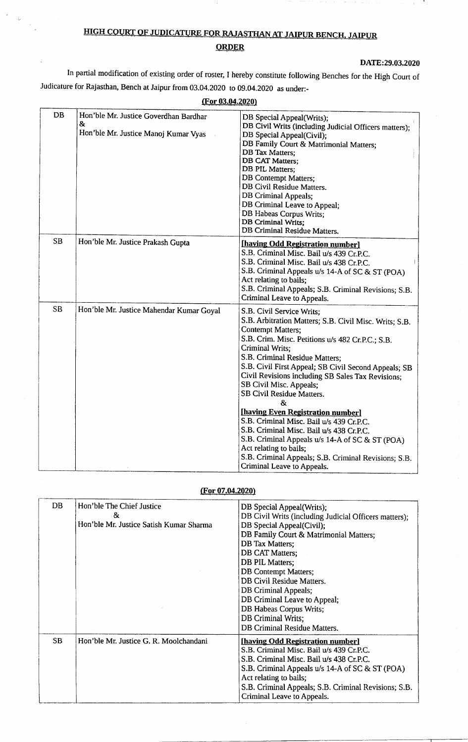# HIGH COURT OF JUDICATURE FOR RAJASTHAN AT JAIPUR BENCH, JAIPUR **ORDER**

 $\ddot{\cdot}$ 

 $\frac{1}{\sqrt{2}}$ 

#### DATE:29.03.2020

л.

In partial modification of existing order of roster, I hereby constitute following Benches for the High Court of Judicature for Rajasthan, Bench at Jaipur from 03.04.2020 to 09.04.2020 as under:-

| <b>DB</b> | Hon'ble Mr. Justice Goverdhan Bardhar<br>& | DB Special Appeal(Writs);                              |
|-----------|--------------------------------------------|--------------------------------------------------------|
|           | Hon'ble Mr. Justice Manoj Kumar Vyas       | DB Civil Writs (including Judicial Officers matters);  |
|           |                                            | DB Special Appeal(Civil);                              |
|           |                                            | DB Family Court & Matrimonial Matters;                 |
|           |                                            | DB Tax Matters;<br>DB CAT Matters;                     |
|           |                                            | DB PIL Matters;                                        |
|           |                                            | <b>DB</b> Contempt Matters;                            |
|           |                                            | DB Civil Residue Matters.                              |
|           |                                            | <b>DB Criminal Appeals;</b>                            |
|           |                                            | DB Criminal Leave to Appeal;                           |
|           |                                            | DB Habeas Corpus Writs;                                |
|           |                                            | DB Criminal Writs;                                     |
|           |                                            | DB Criminal Residue Matters.                           |
| SB        | Hon'ble Mr. Justice Prakash Gupta          | [having Odd Registration number]                       |
|           |                                            | S.B. Criminal Misc. Bail u/s 439 Cr.P.C.               |
|           |                                            | S.B. Criminal Misc. Bail u/s 438 Cr.P.C.               |
|           |                                            | S.B. Criminal Appeals u/s 14-A of SC & ST (POA)        |
|           |                                            | Act relating to bails;                                 |
|           |                                            | S.B. Criminal Appeals; S.B. Criminal Revisions; S.B.   |
|           |                                            | Criminal Leave to Appeals.                             |
| <b>SB</b> | Hon'ble Mr. Justice Mahendar Kumar Goyal   | S.B. Civil Service Writs;                              |
|           |                                            | S.B. Arbitration Matters; S.B. Civil Misc. Writs; S.B. |
|           |                                            | <b>Contempt Matters;</b>                               |
|           |                                            | S.B. Crim. Misc. Petitions u/s 482 Cr.P.C.; S.B.       |
|           |                                            | Criminal Writs;                                        |
|           |                                            | S.B. Criminal Residue Matters;                         |
|           |                                            | S.B. Civil First Appeal; SB Civil Second Appeals; SB   |
|           |                                            | Civil Revisions including SB Sales Tax Revisions;      |
|           |                                            | SB Civil Misc. Appeals;                                |
|           |                                            | SB Civil Residue Matters.                              |
|           |                                            | &                                                      |
|           |                                            | [having Even Registration number]                      |
|           |                                            | S.B. Criminal Misc. Bail u/s 439 Cr.P.C.               |
|           |                                            | S.B. Criminal Misc. Bail u/s 438 Cr.P.C.               |
|           |                                            | S.B. Criminal Appeals u/s 14-A of SC & ST (POA)        |
|           |                                            | Act relating to bails;                                 |
|           |                                            | S.B. Criminal Appeals; S.B. Criminal Revisions; S.B.   |
|           |                                            | Criminal Leave to Appeals.                             |

#### (For 03.04.2020)

### (For 07.04.2020)

| DB        | Hon'ble The Chief Justice<br>&<br>Hon'ble Mr. Justice Satish Kumar Sharma | DB Special Appeal (Writs);<br>DB Civil Writs (including Judicial Officers matters);<br>DB Special Appeal(Civil);<br>DB Family Court & Matrimonial Matters;<br>DB Tax Matters;<br>DB CAT Matters;<br>DB PIL Matters;<br><b>DB</b> Contempt Matters;<br>DB Civil Residue Matters.<br>DB Criminal Appeals;<br>DB Criminal Leave to Appeal;<br>DB Habeas Corpus Writs;<br>DB Criminal Writs;<br>DB Criminal Residue Matters. |
|-----------|---------------------------------------------------------------------------|--------------------------------------------------------------------------------------------------------------------------------------------------------------------------------------------------------------------------------------------------------------------------------------------------------------------------------------------------------------------------------------------------------------------------|
| <b>SB</b> | Hon'ble Mr. Justice G. R. Moolchandani                                    | [having Odd Registration number]<br>S.B. Criminal Misc. Bail u/s 439 Cr.P.C.<br>S.B. Criminal Misc. Bail u/s 438 Cr.P.C.<br>S.B. Criminal Appeals u/s 14-A of SC & ST (POA)<br>Act relating to bails;<br>S.B. Criminal Appeals; S.B. Criminal Revisions; S.B.<br>Criminal Leave to Appeals.                                                                                                                              |